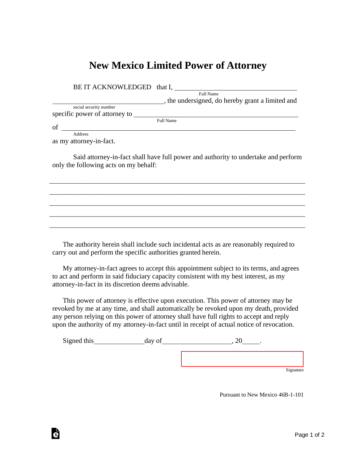## **New Mexico Limited Power of Attorney**

| BE IT ACKNOWLEDGED that I,    |                                                  |
|-------------------------------|--------------------------------------------------|
|                               | Full Name                                        |
|                               | , the undersigned, do hereby grant a limited and |
| social security number        |                                                  |
| specific power of attorney to |                                                  |
|                               | Full Name                                        |
| of                            |                                                  |
| Address                       |                                                  |

as my attorney-in-fact.

Ġ

Said attorney-in-fact shall have full power and authority to undertake and perform only the following acts on my behalf:

\_\_\_\_\_\_\_\_\_\_\_\_\_\_\_\_\_\_\_\_\_\_\_\_\_\_\_\_\_\_\_\_\_\_\_\_\_\_\_\_\_\_\_\_\_\_\_\_\_\_\_\_\_\_\_\_\_\_\_\_\_\_\_\_\_\_\_\_\_\_\_\_\_\_\_\_\_\_\_\_ \_\_\_\_\_\_\_\_\_\_\_\_\_\_\_\_\_\_\_\_\_\_\_\_\_\_\_\_\_\_\_\_\_\_\_\_\_\_\_\_\_\_\_\_\_\_\_\_\_\_\_\_\_\_\_\_\_\_\_\_\_\_\_\_\_\_\_\_\_\_\_\_\_\_\_\_\_\_\_\_ \_\_\_\_\_\_\_\_\_\_\_\_\_\_\_\_\_\_\_\_\_\_\_\_\_\_\_\_\_\_\_\_\_\_\_\_\_\_\_\_\_\_\_\_\_\_\_\_\_\_\_\_\_\_\_\_\_\_\_\_\_\_\_\_\_\_\_\_\_\_\_\_\_\_\_\_\_\_\_\_ \_\_\_\_\_\_\_\_\_\_\_\_\_\_\_\_\_\_\_\_\_\_\_\_\_\_\_\_\_\_\_\_\_\_\_\_\_\_\_\_\_\_\_\_\_\_\_\_\_\_\_\_\_\_\_\_\_\_\_\_\_\_\_\_\_\_\_\_\_\_\_\_\_\_\_\_\_\_\_\_ \_\_\_\_\_\_\_\_\_\_\_\_\_\_\_\_\_\_\_\_\_\_\_\_\_\_\_\_\_\_\_\_\_\_\_\_\_\_\_\_\_\_\_\_\_\_\_\_\_\_\_\_\_\_\_\_\_\_\_\_\_\_\_\_\_\_\_\_\_\_\_\_\_\_\_\_\_\_\_\_

The authority herein shall include such incidental acts as are reasonably required to carry out and perform the specific authorities granted herein.

My attorney-in-fact agrees to accept this appointment subject to its terms, and agrees to act and perform in said fiduciary capacity consistent with my best interest, as my attorney-in-fact in its discretion deems advisable.

This power of attorney is effective upon execution. This power of attorney may be revoked by me at any time, and shall automatically be revoked upon my death, provided any person relying on this power of attorney shall have full rights to accept and reply upon the authority of my attorney-in-fact until in receipt of actual notice of revocation.

Signed this day of 30 and 30 day of 30 and 320 and 320 and 320 and 320 and 320 and 320 and 320 and 320 and 320 and 320 and 320 and 320 and 320 and 320 and 320 and 320 and 320 and 320 and 320 and 320 and 320 and 320 and 320

**Signature** 

Pursuant to New Mexico 46B-1-101